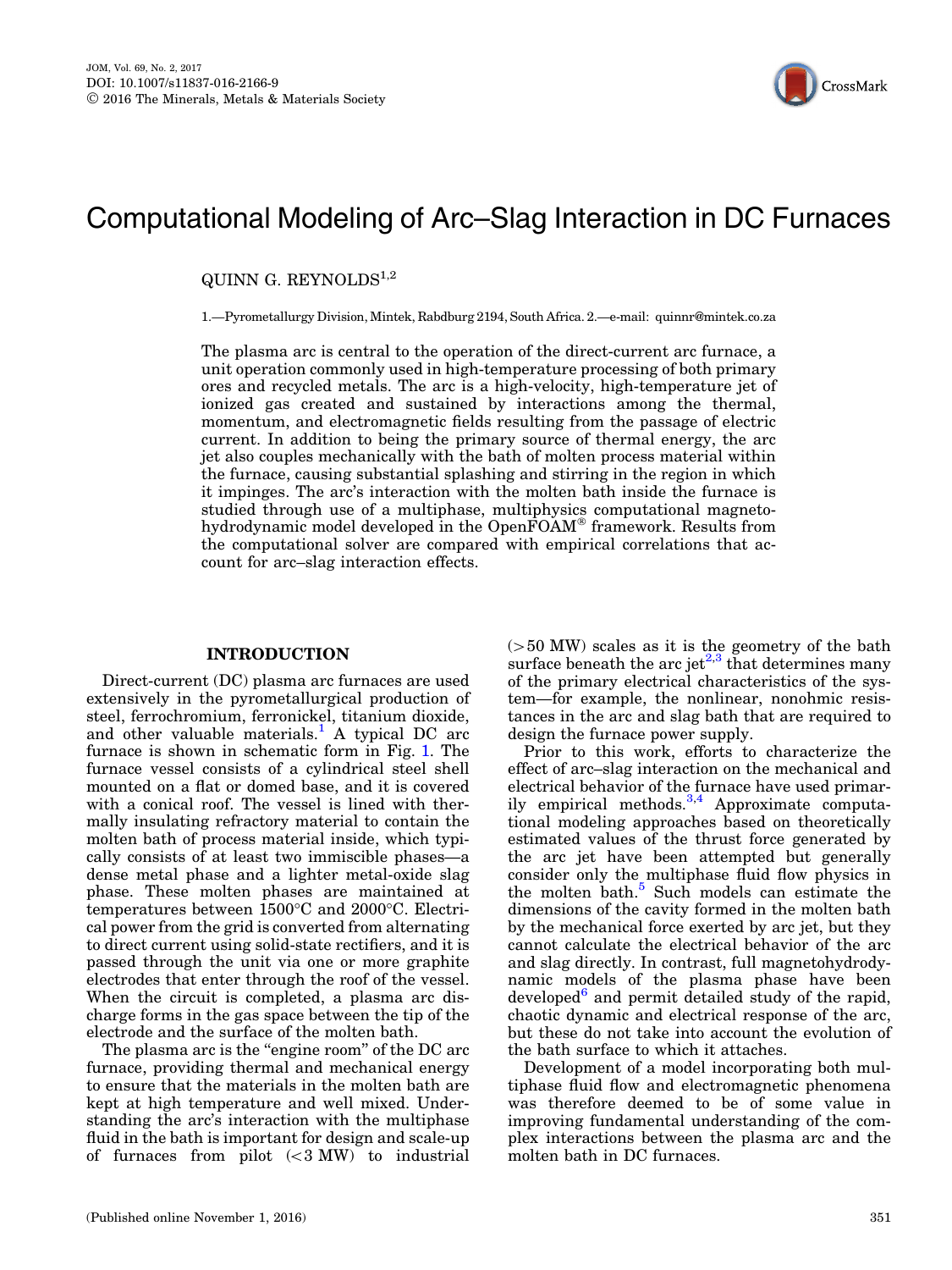

# Computational Modeling of Arc–Slag Interaction in DC Furnaces

QUINN G. REYNOLD $S^{1,2}$ 

1.—Pyrometallurgy Division, Mintek, Rabdburg 2194, South Africa. 2.—e-mail: quinnr@mintek.co.za

The plasma arc is central to the operation of the direct-current arc furnace, a unit operation commonly used in high-temperature processing of both primary ores and recycled metals. The arc is a high-velocity, high-temperature jet of ionized gas created and sustained by interactions among the thermal, momentum, and electromagnetic fields resulting from the passage of electric current. In addition to being the primary source of thermal energy, the arc jet also couples mechanically with the bath of molten process material within the furnace, causing substantial splashing and stirring in the region in which it impinges. The arc's interaction with the molten bath inside the furnace is studied through use of a multiphase, multiphysics computational magnetohydrodynamic model developed in the OpenFOAM® framework. Results from the computational solver are compared with empirical correlations that account for arc–slag interaction effects.

## INTRODUCTION

Direct-current (DC) plasma arc furnaces are used extensively in the pyrometallurgical production of steel, ferrochromium, ferronickel, titanium dioxide, and other valuable materials.<sup>[1](#page-5-0)</sup> A typical DC arc furnace is shown in schematic form in Fig. [1](#page-1-0). The furnace vessel consists of a cylindrical steel shell mounted on a flat or domed base, and it is covered with a conical roof. The vessel is lined with thermally insulating refractory material to contain the molten bath of process material inside, which typically consists of at least two immiscible phases—a dense metal phase and a lighter metal-oxide slag phase. These molten phases are maintained at temperatures between  $1500^{\circ}$ C and  $2000^{\circ}$ C. Electrical power from the grid is converted from alternating to direct current using solid-state rectifiers, and it is passed through the unit via one or more graphite electrodes that enter through the roof of the vessel. When the circuit is completed, a plasma arc discharge forms in the gas space between the tip of the electrode and the surface of the molten bath.

The plasma arc is the "engine room" of the DC arc furnace, providing thermal and mechanical energy to ensure that the materials in the molten bath are kept at high temperature and well mixed. Understanding the arc's interaction with the multiphase fluid in the bath is important for design and scale-up of furnaces from pilot  $( $3 \text{ MW}$ )$  to industrial  $(>50$  MW) scales as it is the geometry of the bath surface beneath the arc jet<sup> $2,3$ </sup> that determines many of the primary electrical characteristics of the system—for example, the nonlinear, nonohmic resistances in the arc and slag bath that are required to design the furnace power supply.

Prior to this work, efforts to characterize the effect of arc–slag interaction on the mechanical and electrical behavior of the furnace have used primarily empirical methods. $3,4$  Approximate computational modeling approaches based on theoretically estimated values of the thrust force generated by the arc jet have been attempted but generally consider only the multiphase fluid flow physics in the molten bath. $5$  Such models can estimate the dimensions of the cavity formed in the molten bath by the mechanical force exerted by arc jet, but they cannot calculate the electrical behavior of the arc and slag directly. In contrast, full magnetohydrodynamic models of the plasma phase have been developed $6$  and permit detailed study of the rapid, chaotic dynamic and electrical response of the arc, but these do not take into account the evolution of the bath surface to which it attaches.

Development of a model incorporating both multiphase fluid flow and electromagnetic phenomena was therefore deemed to be of some value in improving fundamental understanding of the complex interactions between the plasma arc and the molten bath in DC furnaces.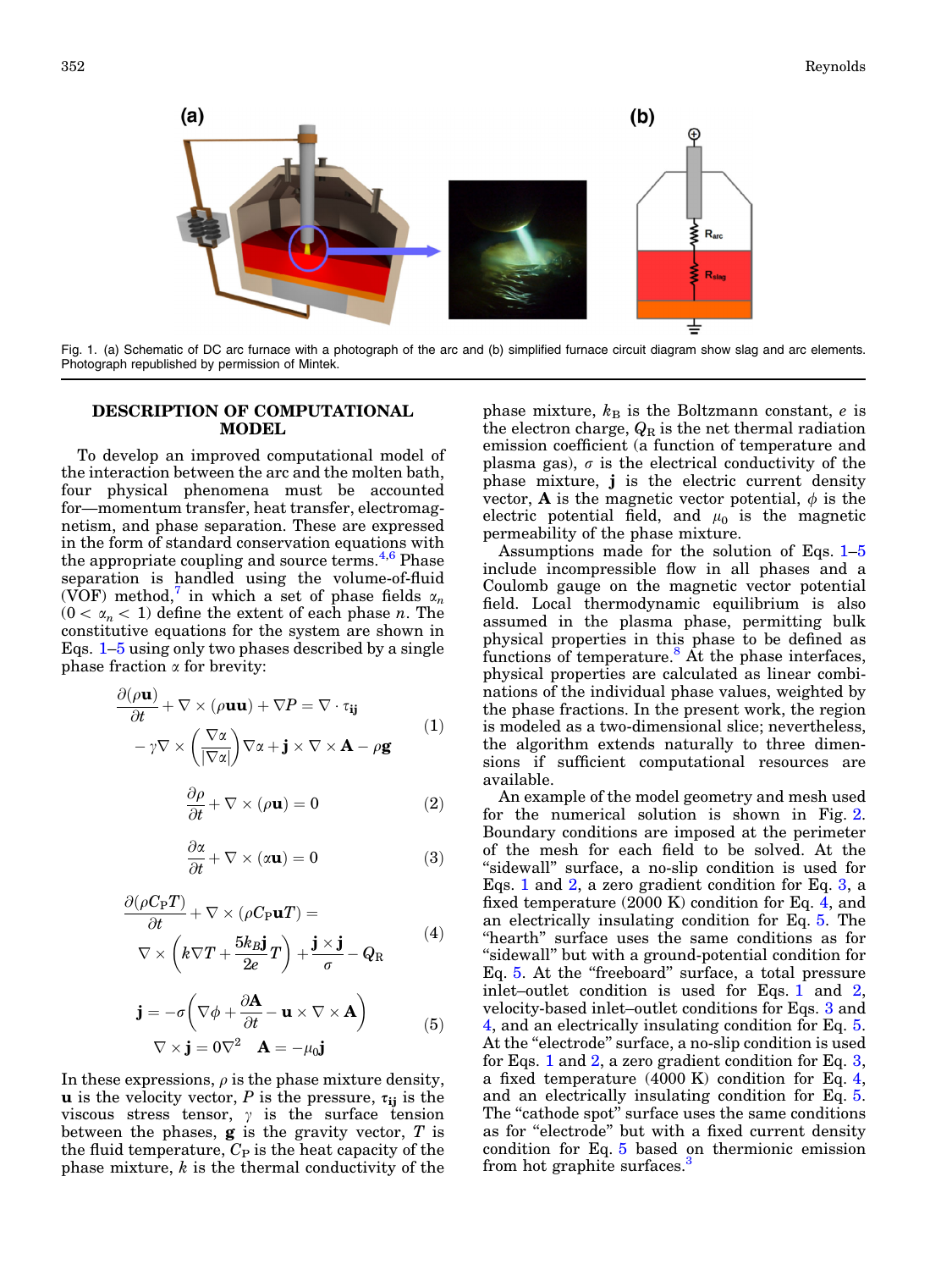<span id="page-1-0"></span>

Fig. 1. (a) Schematic of DC arc furnace with a photograph of the arc and (b) simplified furnace circuit diagram show slag and arc elements. Photograph republished by permission of Mintek.

### DESCRIPTION OF COMPUTATIONAL MODEL

To develop an improved computational model of the interaction between the arc and the molten bath, four physical phenomena must be accounted for—momentum transfer, heat transfer, electromagnetism, and phase separation. These are expressed in the form of standard conservation equations with the appropriate coupling and source terms.<sup>[4,6](#page-6-0)</sup> Phase separation is handled using the volume-of-fluid (VOF) method,<sup>[7](#page-6-0)</sup> in which a set of phase fields  $\alpha_n$  $(0 < \alpha_n < 1)$  define the extent of each phase *n*. The constitutive equations for the system are shown in Eqs. 1–5 using only two phases described by a single phase fraction  $\alpha$  for brevity:

$$
\frac{\partial(\rho \mathbf{u})}{\partial t} + \nabla \times (\rho \mathbf{u} \mathbf{u}) + \nabla P = \nabla \cdot \tau_{ij}
$$
\n
$$
-\gamma \nabla \times \left(\frac{\nabla \alpha}{|\nabla \alpha|}\right) \nabla \alpha + \mathbf{j} \times \nabla \times \mathbf{A} - \rho \mathbf{g}
$$
\n(1)

$$
\frac{\partial \rho}{\partial t} + \nabla \times (\rho \mathbf{u}) = 0 \tag{2}
$$

$$
\frac{\partial \alpha}{\partial t} + \nabla \times (\alpha \mathbf{u}) = 0 \tag{3}
$$

$$
\frac{\partial(\rho C_{P}T)}{\partial t} + \nabla \times (\rho C_{P} \mathbf{u}T) =
$$
\n
$$
\nabla \times \left(k \nabla T + \frac{5k_{B} \mathbf{j}}{2e} T\right) + \frac{\mathbf{j} \times \mathbf{j}}{\sigma} - Q_{R}
$$
\n(4)

$$
\mathbf{j} = -\sigma \left( \nabla \phi + \frac{\partial \mathbf{A}}{\partial t} - \mathbf{u} \times \nabla \times \mathbf{A} \right)
$$
  
 
$$
\nabla \times \mathbf{j} = 0 \nabla^2 \quad \mathbf{A} = -\mu_0 \mathbf{j}
$$
 (5)

In these expressions,  $\rho$  is the phase mixture density, **u** is the velocity vector, P is the pressure,  $\tau_{ij}$  is the viscous stress tensor,  $\gamma$  is the surface tension between the phases,  $\boldsymbol{g}$  is the gravity vector,  $T$  is the fluid temperature,  $C_P$  is the heat capacity of the phase mixture,  $k$  is the thermal conductivity of the phase mixture,  $k_B$  is the Boltzmann constant, e is the electron charge,  $Q_R$  is the net thermal radiation emission coefficient (a function of temperature and plasma gas),  $\sigma$  is the electrical conductivity of the phase mixture, j is the electric current density vector, **A** is the magnetic vector potential,  $\phi$  is the electric potential field, and  $\mu_0$  is the magnetic permeability of the phase mixture.

Assumptions made for the solution of Eqs. 1–5 include incompressible flow in all phases and a Coulomb gauge on the magnetic vector potential field. Local thermodynamic equilibrium is also assumed in the plasma phase, permitting bulk physical properties in this phase to be defined as functions of temperature.<sup>8</sup> At the phase interfaces, physical properties are calculated as linear combinations of the individual phase values, weighted by the phase fractions. In the present work, the region is modeled as a two-dimensional slice; nevertheless, the algorithm extends naturally to three dimensions if sufficient computational resources are available.

An example of the model geometry and mesh used for the numerical solution is shown in Fig. [2.](#page-2-0) Boundary conditions are imposed at the perimeter of the mesh for each field to be solved. At the "sidewall" surface, a no-slip condition is used for Eqs. 1 and 2, a zero gradient condition for Eq. 3, a fixed temperature (2000 K) condition for Eq. 4, and an electrically insulating condition for Eq. 5. The "hearth" surface uses the same conditions as for "sidewall" but with a ground-potential condition for Eq. 5. At the "freeboard" surface, a total pressure inlet–outlet condition is used for Eqs. 1 and 2, velocity-based inlet–outlet conditions for Eqs. 3 and 4, and an electrically insulating condition for Eq. 5. At the "electrode" surface, a no-slip condition is used for Eqs. 1 and 2, a zero gradient condition for Eq. 3, a fixed temperature  $(4000 \text{ K})$  condition for Eq. 4, and an electrically insulating condition for Eq. 5. The "cathode spot" surface uses the same conditions as for "electrode" but with a fixed current density condition for Eq. 5 based on thermionic emission from hot graphite surfaces. $\frac{3}{2}$  $\frac{3}{2}$  $\frac{3}{2}$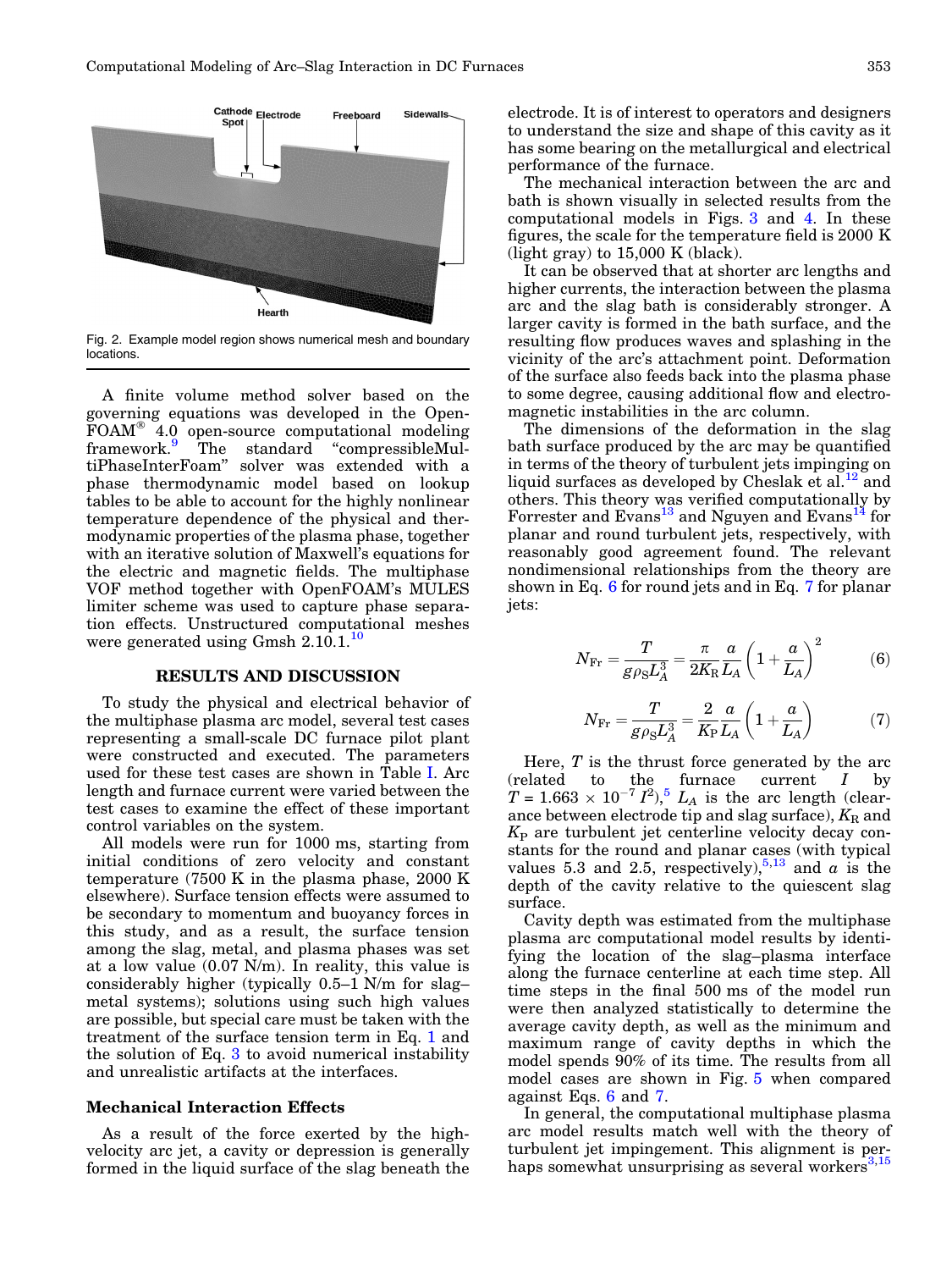<span id="page-2-0"></span>

Fig. 2. Example model region shows numerical mesh and boundary locations.

A finite volume method solver based on the governing equations was developed in the Open- $\text{FOAM}^{\circ}$  4.0 open-source computational modeling framework.<sup>[9](#page-6-0)</sup> The standard "compressibleMultiPhaseInterFoam'' solver was extended with a phase thermodynamic model based on lookup tables to be able to account for the highly nonlinear temperature dependence of the physical and thermodynamic properties of the plasma phase, together with an iterative solution of Maxwell's equations for the electric and magnetic fields. The multiphase VOF method together with OpenFOAM's MULES limiter scheme was used to capture phase separation effects. Unstructured computational meshes were generated using Gmsh 2.[10](#page-6-0).1.<sup>10</sup>

#### RESULTS AND DISCUSSION

To study the physical and electrical behavior of the multiphase plasma arc model, several test cases representing a small-scale DC furnace pilot plant were constructed and executed. The parameters used for these test cases are shown in Table [I](#page-3-0). Arc length and furnace current were varied between the test cases to examine the effect of these important control variables on the system.

All models were run for 1000 ms, starting from initial conditions of zero velocity and constant temperature (7500 K in the plasma phase, 2000 K elsewhere). Surface tension effects were assumed to be secondary to momentum and buoyancy forces in this study, and as a result, the surface tension among the slag, metal, and plasma phases was set at a low value (0.07 N/m). In reality, this value is considerably higher (typically 0.5–1 N/m for slag– metal systems); solutions using such high values are possible, but special care must be taken with the treatment of the surface tension term in Eq. [1](#page-1-0) and the solution of Eq. [3](#page-1-0) to avoid numerical instability and unrealistic artifacts at the interfaces.

#### Mechanical Interaction Effects

As a result of the force exerted by the highvelocity arc jet, a cavity or depression is generally formed in the liquid surface of the slag beneath the electrode. It is of interest to operators and designers to understand the size and shape of this cavity as it has some bearing on the metallurgical and electrical performance of the furnace.

The mechanical interaction between the arc and bath is shown visually in selected results from the computational models in Figs. [3](#page-3-0) and [4](#page-4-0). In these figures, the scale for the temperature field is 2000 K  $(light gray)$  to 15,000 K (black).

It can be observed that at shorter arc lengths and higher currents, the interaction between the plasma arc and the slag bath is considerably stronger. A larger cavity is formed in the bath surface, and the resulting flow produces waves and splashing in the vicinity of the arc's attachment point. Deformation of the surface also feeds back into the plasma phase to some degree, causing additional flow and electromagnetic instabilities in the arc column.

The dimensions of the deformation in the slag bath surface produced by the arc may be quantified in terms of the theory of turbulent jets impinging on liquid surfaces as developed by Cheslak et al.<sup>12</sup> and others. This theory was verified computationally by Forrester and Evans<sup>13</sup> and Nguyen and Evans<sup>[14](#page-6-0)</sup> for planar and round turbulent jets, respectively, with reasonably good agreement found. The relevant nondimensional relationships from the theory are shown in Eq. 6 for round jets and in Eq. 7 for planar jets:

$$
N_{\rm Fr} = \frac{T}{g\rho_{\rm S}L_{\rm A}^3} = \frac{\pi}{2K_{\rm R}}\frac{a}{L_{\rm A}}\left(1 + \frac{a}{L_{\rm A}}\right)^2\tag{6}
$$

$$
N_{\rm Fr} = \frac{T}{g\rho_{\rm S}L_{\rm A}^3} = \frac{2}{K_{\rm P}}\frac{a}{L_{\rm A}}\left(1 + \frac{a}{L_{\rm A}}\right) \tag{7}
$$

Here,  $T$  is the thrust force generated by the arc (related to the furnace current I by  $T = 1.663 \times 10^{-7} I^2$ ,  $L_A$  is the arc length (clearance between electrode tip and slag surface),  $K_R$  and  $K_{\rm P}$  are turbulent jet centerline velocity decay constants for the round and planar cases (with typical values 5.3 and 2.5, respectively),<sup>[5,13](#page-6-0)</sup> and  $\alpha$  is the depth of the cavity relative to the quiescent slag surface.

Cavity depth was estimated from the multiphase plasma arc computational model results by identifying the location of the slag–plasma interface along the furnace centerline at each time step. All time steps in the final 500 ms of the model run were then analyzed statistically to determine the average cavity depth, as well as the minimum and maximum range of cavity depths in which the model spends 90% of its time. The results from all model cases are shown in Fig. [5](#page-4-0) when compared against Eqs. 6 and 7.

In general, the computational multiphase plasma arc model results match well with the theory of turbulent jet impingement. This alignment is perhaps somewhat unsurprising as several workers $3,15$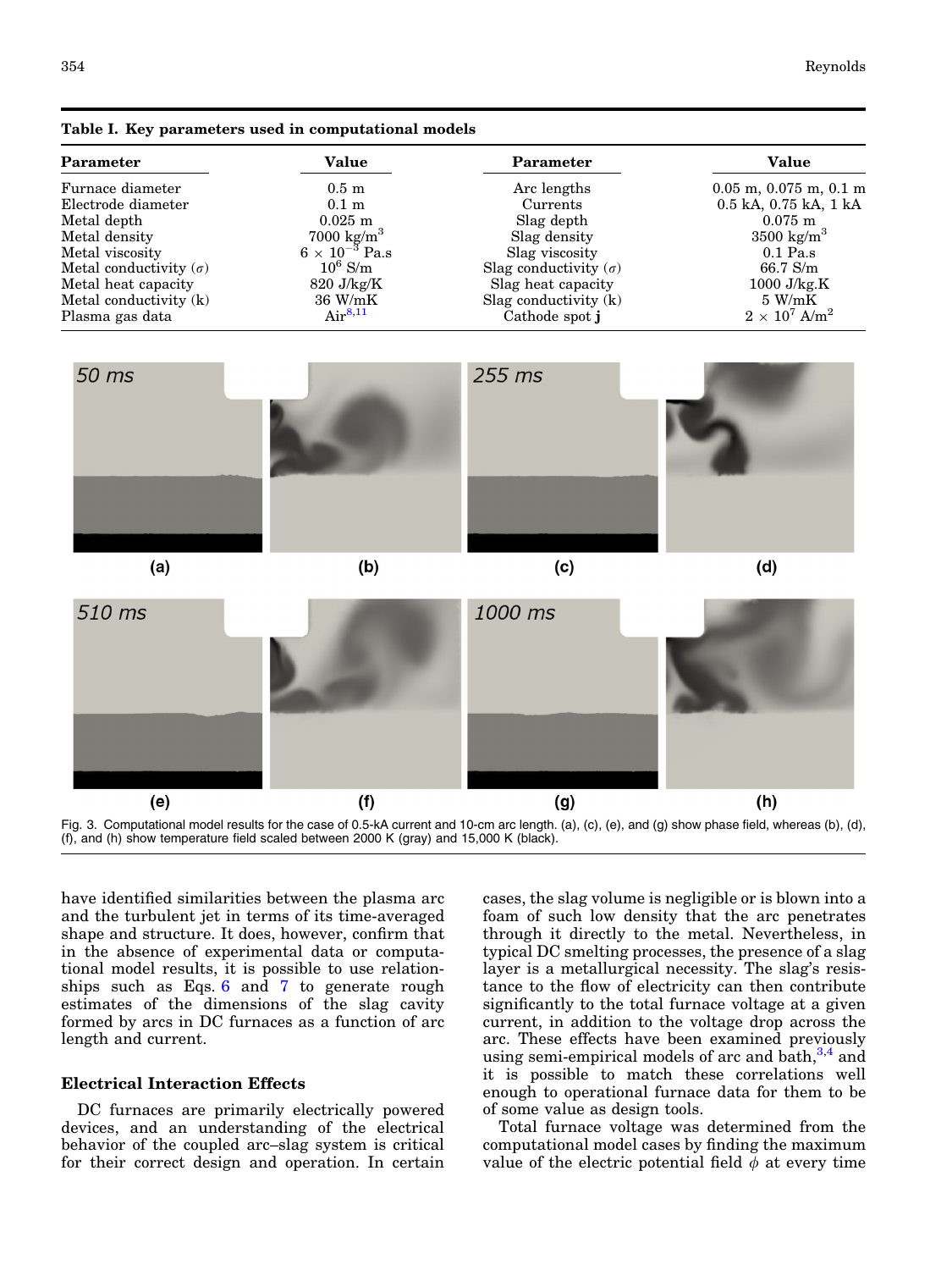| Parameter                     | Value                   | <b>Parameter</b>             | <b>Value</b>                     |  |
|-------------------------------|-------------------------|------------------------------|----------------------------------|--|
| Furnace diameter              | $0.5 \text{ m}$         | Arc lengths                  | $0.05$ m, $0.075$ m, $0.1$ m     |  |
| Electrode diameter            | $0.1 \text{ m}$         | Currents                     | $0.5$ kA, $0.75$ kA, $1$ kA      |  |
| Metal depth                   | $0.025 \; \mathrm{m}$   | Slag depth                   | $0.075 \; \mathrm{m}$            |  |
| Metal density                 | $7000 \text{ kg/m}^3$   | Slag density                 | $3500 \text{ kg/m}^3$            |  |
| Metal viscosity               | $6 \times 10^{-3}$ Pa.s | Slag viscosity               | $0.1$ Pa.s                       |  |
| Metal conductivity $(\sigma)$ | $10^6$ S/m              | Slag conductivity $(\sigma)$ | $66.7$ S/m                       |  |
| Metal heat capacity           | $820 \text{ J/kg/K}$    | Slag heat capacity           | $1000$ J/kg.K                    |  |
| Metal conductivity (k)        | 36 W/mK                 | Slag conductivity $(k)$      | $5 \text{ W/mK}$                 |  |
| Plasma gas data               | Air <sup>8,11</sup>     | Cathode spot i               | $2 \times 10^7$ A/m <sup>2</sup> |  |
|                               |                         |                              |                                  |  |

<span id="page-3-0"></span>





have identified similarities between the plasma arc and the turbulent jet in terms of its time-averaged shape and structure. It does, however, confirm that in the absence of experimental data or computational model results, it is possible to use relationships such as Eqs. [6](#page-2-0) and [7](#page-2-0) to generate rough estimates of the dimensions of the slag cavity formed by arcs in DC furnaces as a function of arc length and current.

## Electrical Interaction Effects

DC furnaces are primarily electrically powered devices, and an understanding of the electrical behavior of the coupled arc–slag system is critical for their correct design and operation. In certain

cases, the slag volume is negligible or is blown into a foam of such low density that the arc penetrates through it directly to the metal. Nevertheless, in typical DC smelting processes, the presence of a slag layer is a metallurgical necessity. The slag's resistance to the flow of electricity can then contribute significantly to the total furnace voltage at a given current, in addition to the voltage drop across the arc. These effects have been examined previously using semi-empirical models of arc and bath, $3,4$  and it is possible to match these correlations well enough to operational furnace data for them to be of some value as design tools.

Total furnace voltage was determined from the computational model cases by finding the maximum value of the electric potential field  $\phi$  at every time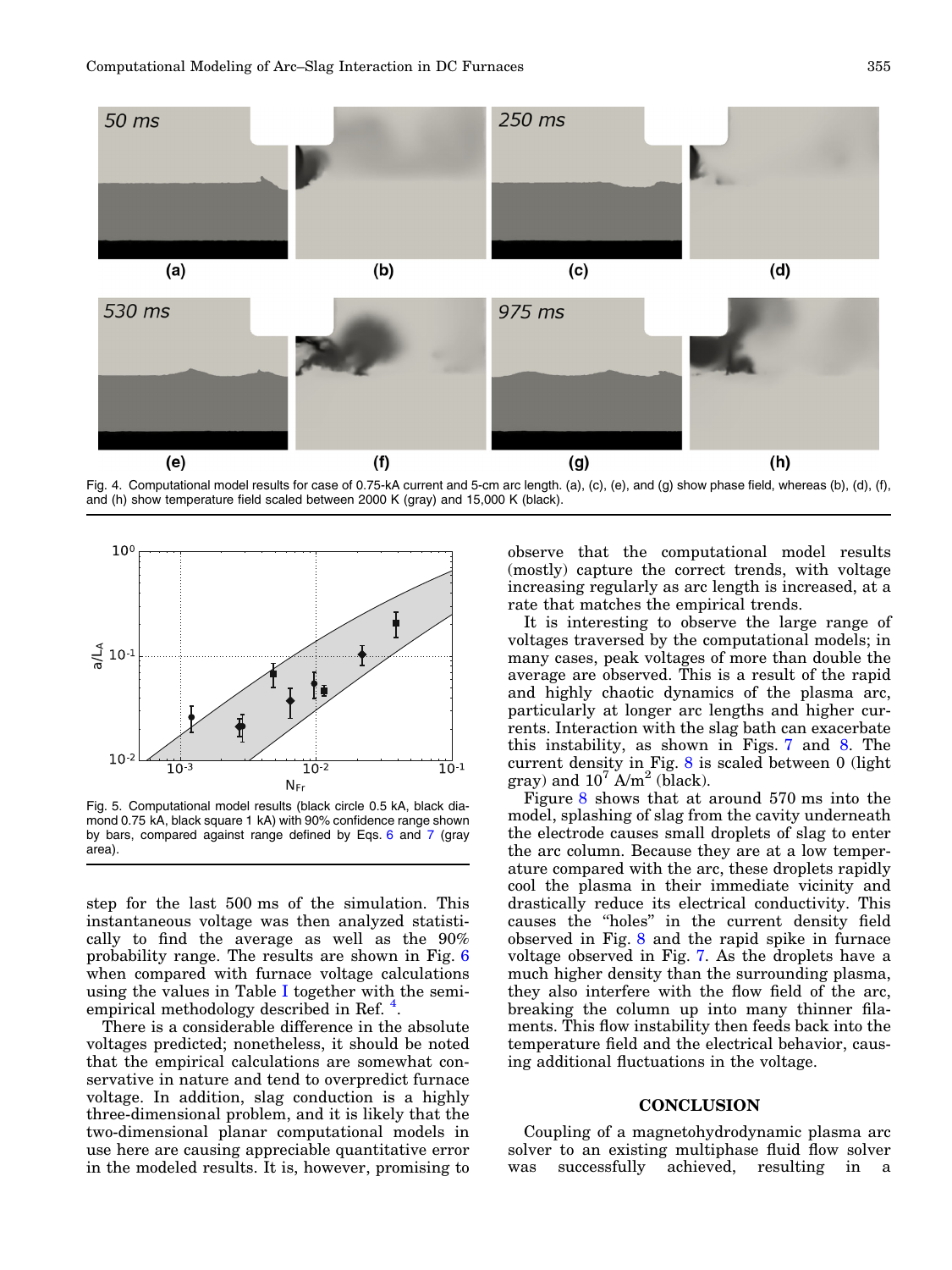<span id="page-4-0"></span>

Fig. 4. Computational model results for case of 0.75-kA current and 5-cm arc length. (a), (c), (e), and (g) show phase field, whereas (b), (d), (f), and (h) show temperature field scaled between 2000 K (gray) and 15,000 K (black).



Fig. 5. Computational model results (black circle 0.5 kA, black diamond 0.75 kA, black square 1 kA) with 90% confidence range shown by bars, compared against range defined by Eqs. [6](#page-2-0) and [7](#page-2-0) (gray area).

step for the last 500 ms of the simulation. This instantaneous voltage was then analyzed statistically to find the average as well as the 90% probability range. The results are shown in Fig. [6](#page-5-0) when compared with furnace voltage calculations using the values in Table [I](#page-3-0) together with the semi-empirical methodology described in Ref.<sup>[4](#page-6-0)</sup>.

There is a considerable difference in the absolute voltages predicted; nonetheless, it should be noted that the empirical calculations are somewhat conservative in nature and tend to overpredict furnace voltage. In addition, slag conduction is a highly three-dimensional problem, and it is likely that the two-dimensional planar computational models in use here are causing appreciable quantitative error in the modeled results. It is, however, promising to

observe that the computational model results (mostly) capture the correct trends, with voltage increasing regularly as arc length is increased, at a rate that matches the empirical trends.

It is interesting to observe the large range of voltages traversed by the computational models; in many cases, peak voltages of more than double the average are observed. This is a result of the rapid and highly chaotic dynamics of the plasma arc, particularly at longer arc lengths and higher currents. Interaction with the slag bath can exacerbate this instability, as shown in Figs. [7](#page-5-0) and [8](#page-5-0). The current density in Fig.  $8$  is scaled between 0 (light gray) and  $10^7$  A/m<sup>2</sup> (black).

Figure [8](#page-5-0) shows that at around 570 ms into the model, splashing of slag from the cavity underneath the electrode causes small droplets of slag to enter the arc column. Because they are at a low temperature compared with the arc, these droplets rapidly cool the plasma in their immediate vicinity and drastically reduce its electrical conductivity. This causes the ''holes'' in the current density field observed in Fig. [8](#page-5-0) and the rapid spike in furnace voltage observed in Fig. [7.](#page-5-0) As the droplets have a much higher density than the surrounding plasma, they also interfere with the flow field of the arc, breaking the column up into many thinner filaments. This flow instability then feeds back into the temperature field and the electrical behavior, causing additional fluctuations in the voltage.

### **CONCLUSION**

Coupling of a magnetohydrodynamic plasma arc solver to an existing multiphase fluid flow solver was successfully achieved, resulting in a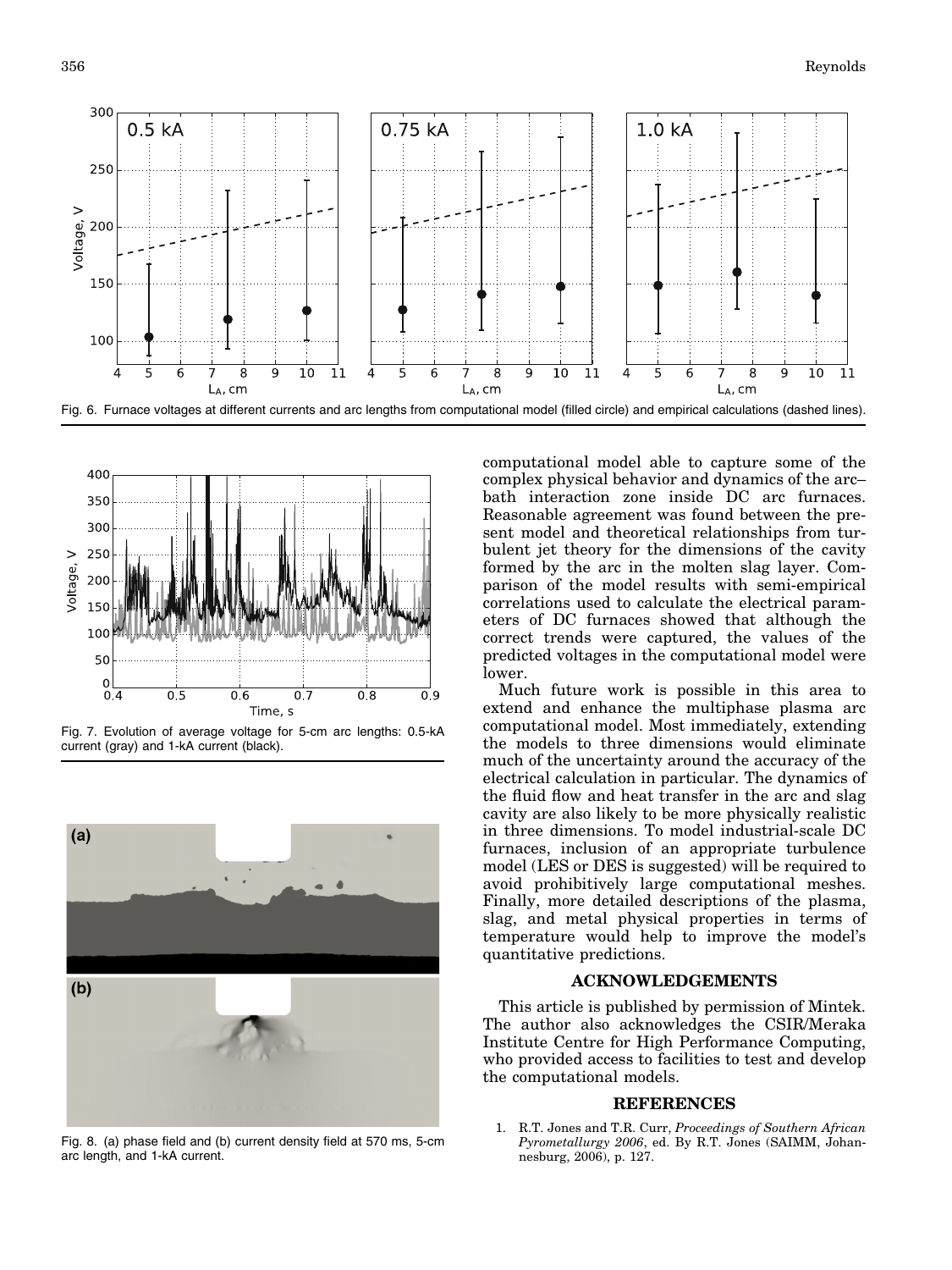<span id="page-5-0"></span>



Fig. 7. Evolution of average voltage for 5-cm arc lengths: 0.5-kA current (gray) and 1-kA current (black).



Fig. 8. (a) phase field and (b) current density field at 570 ms, 5-cm arc length, and 1-kA current.

computational model able to capture some of the complex physical behavior and dynamics of the arc– bath interaction zone inside DC arc furnaces. Reasonable agreement was found between the present model and theoretical relationships from turbulent jet theory for the dimensions of the cavity formed by the arc in the molten slag layer. Comparison of the model results with semi-empirical correlations used to calculate the electrical parameters of DC furnaces showed that although the correct trends were captured, the values of the predicted voltages in the computational model were lower.

Much future work is possible in this area to extend and enhance the multiphase plasma arc computational model. Most immediately, extending the models to three dimensions would eliminate much of the uncertainty around the accuracy of the electrical calculation in particular. The dynamics of the fluid flow and heat transfer in the arc and slag cavity are also likely to be more physically realistic in three dimensions. To model industrial-scale DC furnaces, inclusion of an appropriate turbulence model (LES or DES is suggested) will be required to avoid prohibitively large computational meshes. Finally, more detailed descriptions of the plasma, slag, and metal physical properties in terms of temperature would help to improve the model's quantitative predictions.

### ACKNOWLEDGEMENTS

This article is published by permission of Mintek. The author also acknowledges the CSIR/Meraka Institute Centre for High Performance Computing, who provided access to facilities to test and develop the computational models.

#### REFERENCES

1. R.T. Jones and T.R. Curr, Proceedings of Southern African Pyrometallurgy 2006, ed. By R.T. Jones (SAIMM, Johannesburg, 2006), p. 127.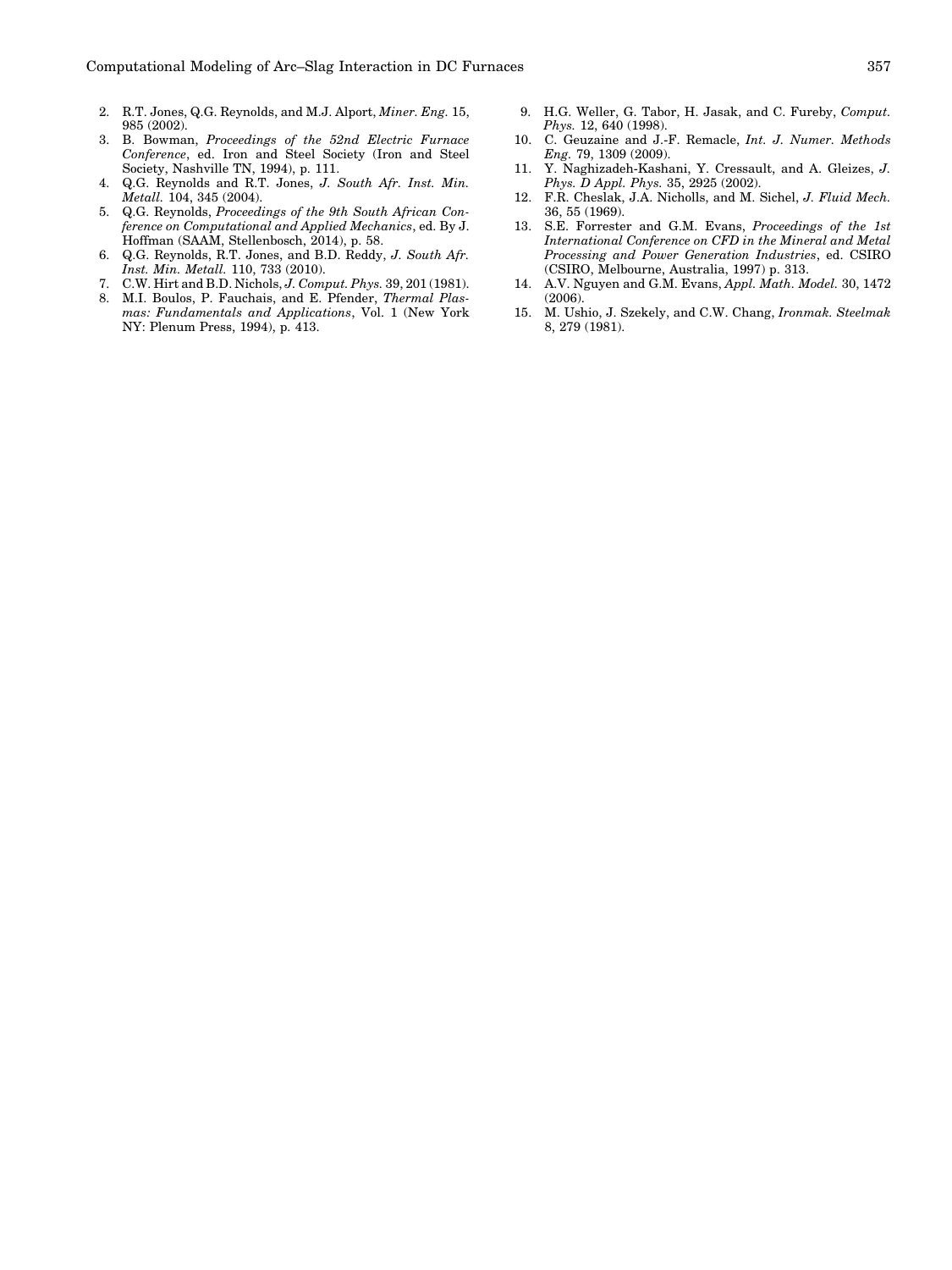- <span id="page-6-0"></span>2. R.T. Jones, Q.G. Reynolds, and M.J. Alport, Miner. Eng. 15, 985 (2002).
- 3. B. Bowman, Proceedings of the 52nd Electric Furnace Conference, ed. Iron and Steel Society (Iron and Steel Society, Nashville TN, 1994), p. 111.
- 4. Q.G. Reynolds and R.T. Jones, J. South Afr. Inst. Min. Metall. 104, 345 (2004).
- 5. Q.G. Reynolds, Proceedings of the 9th South African Conference on Computational and Applied Mechanics, ed. By J. Hoffman (SAAM, Stellenbosch, 2014), p. 58.
- 6. Q.G. Reynolds, R.T. Jones, and B.D. Reddy, J. South Afr. Inst. Min. Metall. 110, 733 (2010).
- 7. C.W. Hirt and B.D. Nichols, J. Comput. Phys. 39, 201 (1981).
- 8. M.I. Boulos, P. Fauchais, and E. Pfender, Thermal Plasmas: Fundamentals and Applications, Vol. 1 (New York NY: Plenum Press, 1994), p. 413.
- 9. H.G. Weller, G. Tabor, H. Jasak, and C. Fureby, Comput. Phys. 12, 640 (1998).
- 10. C. Geuzaine and J.-F. Remacle, Int. J. Numer. Methods Eng. 79, 1309 (2009).
- 11. Y. Naghizadeh-Kashani, Y. Cressault, and A. Gleizes, J. Phys. D Appl. Phys. 35, 2925 (2002).
- 12. F.R. Cheslak, J.A. Nicholls, and M. Sichel, J. Fluid Mech. 36, 55 (1969).
- 13. S.E. Forrester and G.M. Evans, Proceedings of the 1st International Conference on CFD in the Mineral and Metal Processing and Power Generation Industries, ed. CSIRO (CSIRO, Melbourne, Australia, 1997) p. 313.
- 14. A.V. Nguyen and G.M. Evans, Appl. Math. Model. 30, 1472 (2006).
- 15. M. Ushio, J. Szekely, and C.W. Chang, Ironmak. Steelmak 8, 279 (1981).